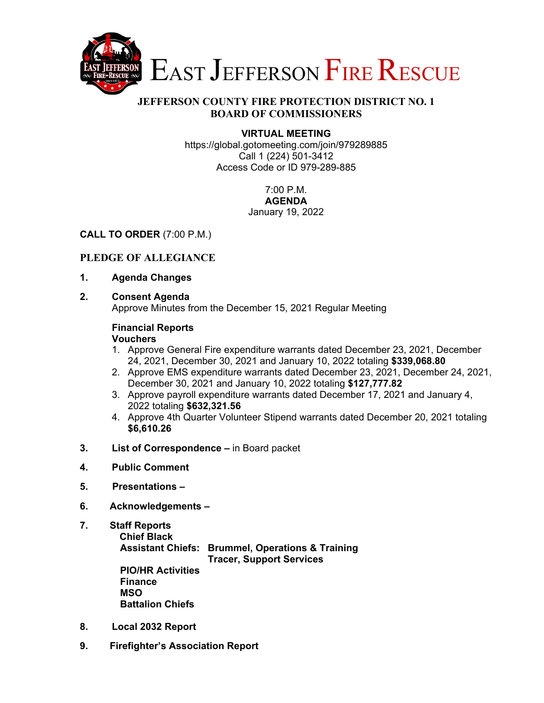

### **JEFFERSON COUNTY FIRE PROTECTION DISTRICT NO. 1 BOARD OF COMMISSIONERS**

### **VIRTUAL MEETING**

https://global.gotomeeting.com/join/979289885 Call 1 (224) 501-3412 Access Code or ID 979-289-885

#### 7:00 P.M. **AGENDA**

# January 19, 2022

## **CALL TO ORDER** (7:00 P.M.)

## **PLEDGE OF ALLEGIANCE**

- **1. Agenda Changes**
- **2. Consent Agenda**

Approve Minutes from the December 15, 2021 Regular Meeting

## **Financial Reports**

### **Vouchers**

- 1. Approve General Fire expenditure warrants dated December 23, 2021, December 24, 2021, December 30, 2021 and January 10, 2022 totaling **\$339,068.80**
- 2. Approve EMS expenditure warrants dated December 23, 2021, December 24, 2021, December 30, 2021 and January 10, 2022 totaling **\$127,777.82**
- 3. Approve payroll expenditure warrants dated December 17, 2021 and January 4, 2022 totaling **\$632,321.56**
- 4. Approve 4th Quarter Volunteer Stipend warrants dated December 20, 2021 totaling **\$6,610.26**
- **3. List of Correspondence** in Board packet
- **4. Public Comment**
- **5. Presentations**
- **6. Acknowledgements**
- **7. Staff Reports Chief Black Assistant Chiefs: Brummel, Operations & Training Tracer, Support Services PIO/HR Activities Finance MSO Battalion Chiefs**
- **8. Local 2032 Report**
- **9. Firefighter's Association Report**